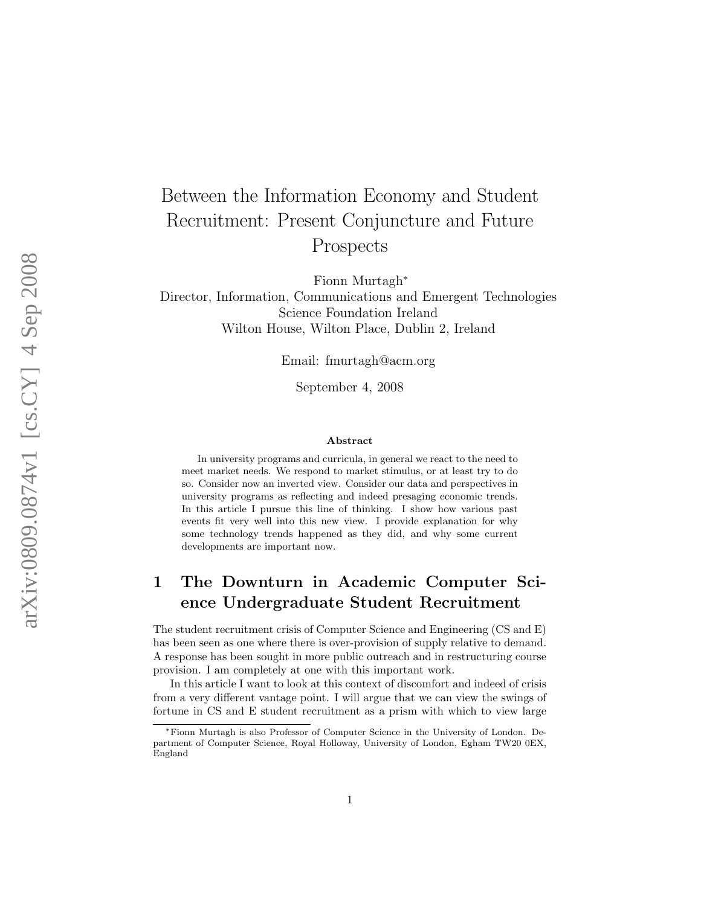# Between the Information Economy and Student Recruitment: Present Conjuncture and Future Prospects

Fionn Murtagh ∗

Director, Information, Communications and Emergent Technologies Science Foundation Ireland Wilton House, Wilton Place, Dublin 2, Ireland

Email: fmurtagh@acm.org

September 4, 2008

#### Abstract

In university programs and curricula, in general we react to the need to meet market needs. We respond to market stimulus, or at least try to do so. Consider now an inverted view. Consider our data and perspectives in university programs as reflecting and indeed presaging economic trends. In this article I pursue this line of thinking. I show how various past events fit very well into this new view. I provide explanation for why some technology trends happened as they did, and why some current developments are important now.

# 1 The Downturn in Academic Computer Science Undergraduate Student Recruitment

The student recruitment crisis of Computer Science and Engineering (CS and E) has been seen as one where there is over-provision of supply relative to demand. A response has been sought in more public outreach and in restructuring course provision. I am completely at one with this important work.

In this article I want to look at this context of discomfort and indeed of crisis from a very different vantage point. I will argue that we can view the swings of fortune in CS and E student recruitment as a prism with which to view large

<sup>∗</sup>Fionn Murtagh is also Professor of Computer Science in the University of London. Department of Computer Science, Royal Holloway, University of London, Egham TW20 0EX, England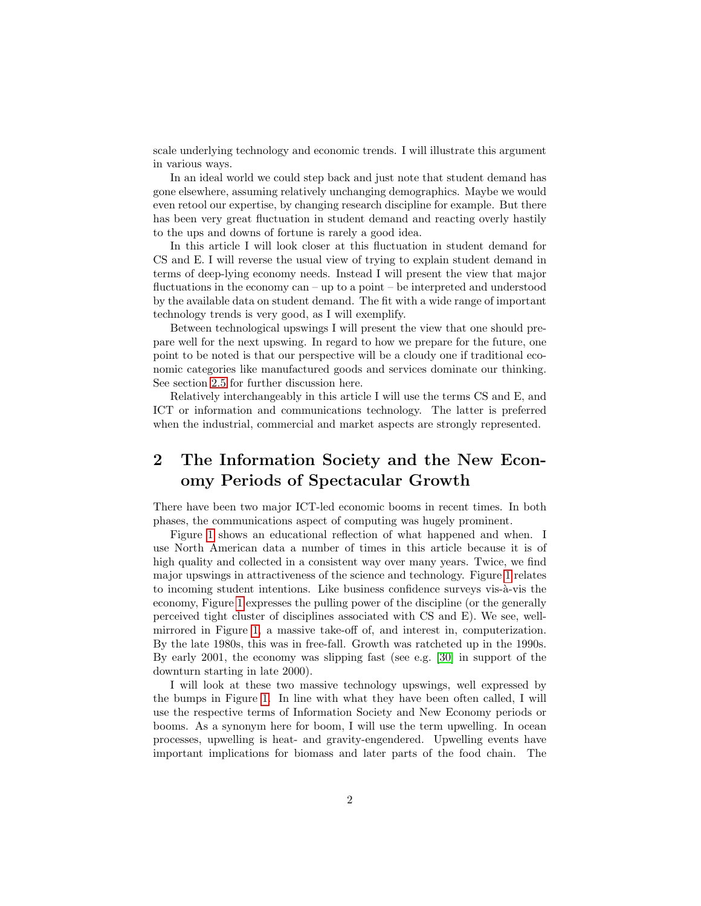scale underlying technology and economic trends. I will illustrate this argument in various ways.

In an ideal world we could step back and just note that student demand has gone elsewhere, assuming relatively unchanging demographics. Maybe we would even retool our expertise, by changing research discipline for example. But there has been very great fluctuation in student demand and reacting overly hastily to the ups and downs of fortune is rarely a good idea.

In this article I will look closer at this fluctuation in student demand for CS and E. I will reverse the usual view of trying to explain student demand in terms of deep-lying economy needs. Instead I will present the view that major fluctuations in the economy can – up to a point – be interpreted and understood by the available data on student demand. The fit with a wide range of important technology trends is very good, as I will exemplify.

Between technological upswings I will present the view that one should prepare well for the next upswing. In regard to how we prepare for the future, one point to be noted is that our perspective will be a cloudy one if traditional economic categories like manufactured goods and services dominate our thinking. See section [2.5](#page-5-0) for further discussion here.

Relatively interchangeably in this article I will use the terms CS and E, and ICT or information and communications technology. The latter is preferred when the industrial, commercial and market aspects are strongly represented.

# 2 The Information Society and the New Economy Periods of Spectacular Growth

There have been two major ICT-led economic booms in recent times. In both phases, the communications aspect of computing was hugely prominent.

Figure [1](#page-6-0) shows an educational reflection of what happened and when. I use North American data a number of times in this article because it is of high quality and collected in a consistent way over many years. Twice, we find major upswings in attractiveness of the science and technology. Figure [1](#page-6-0) relates to incoming student intentions. Like business confidence surveys vis- $\grave{a}$ -vis the economy, Figure [1](#page-6-0) expresses the pulling power of the discipline (or the generally perceived tight cluster of disciplines associated with CS and E). We see, wellmirrored in Figure [1,](#page-6-0) a massive take-off of, and interest in, computerization. By the late 1980s, this was in free-fall. Growth was ratcheted up in the 1990s. By early 2001, the economy was slipping fast (see e.g. [\[30\]](#page-17-0) in support of the downturn starting in late 2000).

I will look at these two massive technology upswings, well expressed by the bumps in Figure [1.](#page-6-0) In line with what they have been often called, I will use the respective terms of Information Society and New Economy periods or booms. As a synonym here for boom, I will use the term upwelling. In ocean processes, upwelling is heat- and gravity-engendered. Upwelling events have important implications for biomass and later parts of the food chain. The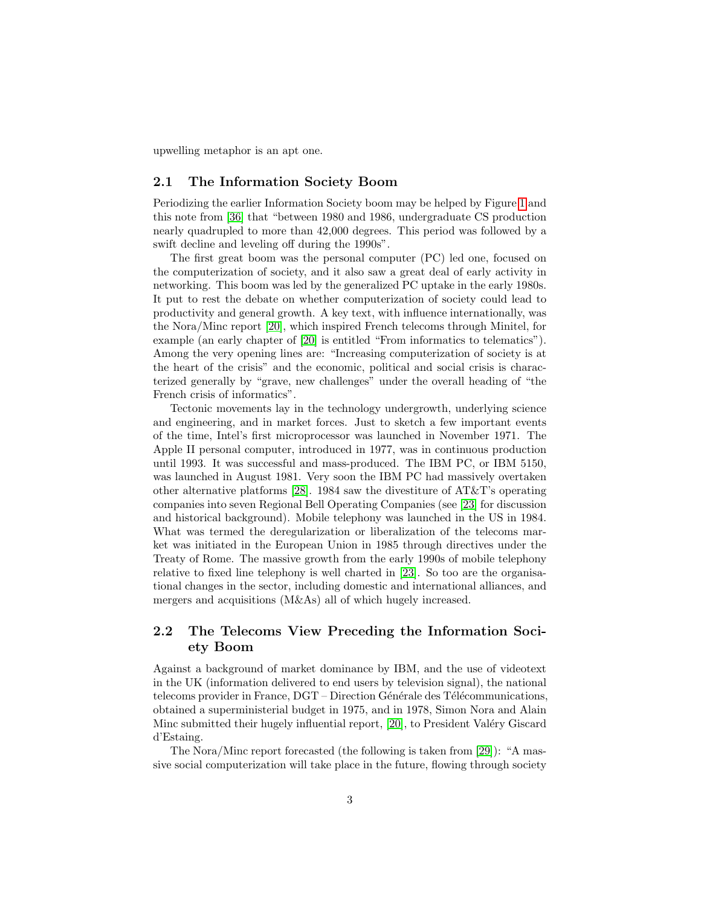upwelling metaphor is an apt one.

#### 2.1 The Information Society Boom

Periodizing the earlier Information Society boom may be helped by Figure [1](#page-6-0) and this note from [\[36\]](#page-17-1) that "between 1980 and 1986, undergraduate CS production nearly quadrupled to more than 42,000 degrees. This period was followed by a swift decline and leveling off during the 1990s".

The first great boom was the personal computer (PC) led one, focused on the computerization of society, and it also saw a great deal of early activity in networking. This boom was led by the generalized PC uptake in the early 1980s. It put to rest the debate on whether computerization of society could lead to productivity and general growth. A key text, with influence internationally, was the Nora/Minc report [\[20\]](#page-16-0), which inspired French telecoms through Minitel, for example (an early chapter of [\[20\]](#page-16-0) is entitled "From informatics to telematics"). Among the very opening lines are: "Increasing computerization of society is at the heart of the crisis" and the economic, political and social crisis is characterized generally by "grave, new challenges" under the overall heading of "the French crisis of informatics".

Tectonic movements lay in the technology undergrowth, underlying science and engineering, and in market forces. Just to sketch a few important events of the time, Intel's first microprocessor was launched in November 1971. The Apple II personal computer, introduced in 1977, was in continuous production until 1993. It was successful and mass-produced. The IBM PC, or IBM 5150, was launched in August 1981. Very soon the IBM PC had massively overtaken other alternative platforms [\[28\]](#page-16-1). 1984 saw the divestiture of AT&T's operating companies into seven Regional Bell Operating Companies (see [\[23\]](#page-16-2) for discussion and historical background). Mobile telephony was launched in the US in 1984. What was termed the deregularization or liberalization of the telecoms market was initiated in the European Union in 1985 through directives under the Treaty of Rome. The massive growth from the early 1990s of mobile telephony relative to fixed line telephony is well charted in [\[23\]](#page-16-2). So too are the organisational changes in the sector, including domestic and international alliances, and mergers and acquisitions (M&As) all of which hugely increased.

### 2.2 The Telecoms View Preceding the Information Society Boom

Against a background of market dominance by IBM, and the use of videotext in the UK (information delivered to end users by television signal), the national telecoms provider in France,  $\text{DGT}-\text{Direction}$  Générale des Télécommunications, obtained a superministerial budget in 1975, and in 1978, Simon Nora and Alain Minc submitted their hugely influential report, [\[20\]](#page-16-0), to President Valéry Giscard d'Estaing.

The Nora/Minc report forecasted (the following is taken from [\[29\]](#page-16-3)): "A massive social computerization will take place in the future, flowing through society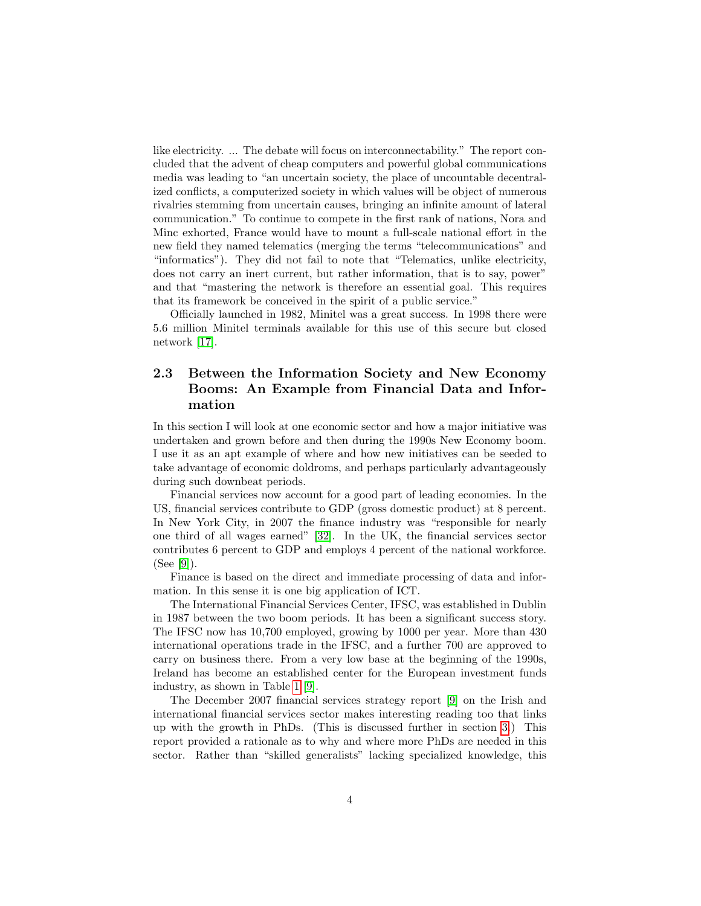like electricity. ... The debate will focus on interconnectability." The report concluded that the advent of cheap computers and powerful global communications media was leading to "an uncertain society, the place of uncountable decentralized conflicts, a computerized society in which values will be object of numerous rivalries stemming from uncertain causes, bringing an infinite amount of lateral communication." To continue to compete in the first rank of nations, Nora and Minc exhorted, France would have to mount a full-scale national effort in the new field they named telematics (merging the terms "telecommunications" and "informatics"). They did not fail to note that "Telematics, unlike electricity, does not carry an inert current, but rather information, that is to say, power" and that "mastering the network is therefore an essential goal. This requires that its framework be conceived in the spirit of a public service."

Officially launched in 1982, Minitel was a great success. In 1998 there were 5.6 million Minitel terminals available for this use of this secure but closed network [\[17\]](#page-16-4).

## 2.3 Between the Information Society and New Economy Booms: An Example from Financial Data and Information

In this section I will look at one economic sector and how a major initiative was undertaken and grown before and then during the 1990s New Economy boom. I use it as an apt example of where and how new initiatives can be seeded to take advantage of economic doldroms, and perhaps particularly advantageously during such downbeat periods.

Financial services now account for a good part of leading economies. In the US, financial services contribute to GDP (gross domestic product) at 8 percent. In New York City, in 2007 the finance industry was "responsible for nearly one third of all wages earned" [\[32\]](#page-17-2). In the UK, the financial services sector contributes 6 percent to GDP and employs 4 percent of the national workforce. (See [\[9\]](#page-15-0)).

Finance is based on the direct and immediate processing of data and information. In this sense it is one big application of ICT.

The International Financial Services Center, IFSC, was established in Dublin in 1987 between the two boom periods. It has been a significant success story. The IFSC now has 10,700 employed, growing by 1000 per year. More than 430 international operations trade in the IFSC, and a further 700 are approved to carry on business there. From a very low base at the beginning of the 1990s, Ireland has become an established center for the European investment funds industry, as shown in Table [1](#page-4-0) [\[9\]](#page-15-0).

The December 2007 financial services strategy report [\[9\]](#page-15-0) on the Irish and international financial services sector makes interesting reading too that links up with the growth in PhDs. (This is discussed further in section [3.](#page-11-0)) This report provided a rationale as to why and where more PhDs are needed in this sector. Rather than "skilled generalists" lacking specialized knowledge, this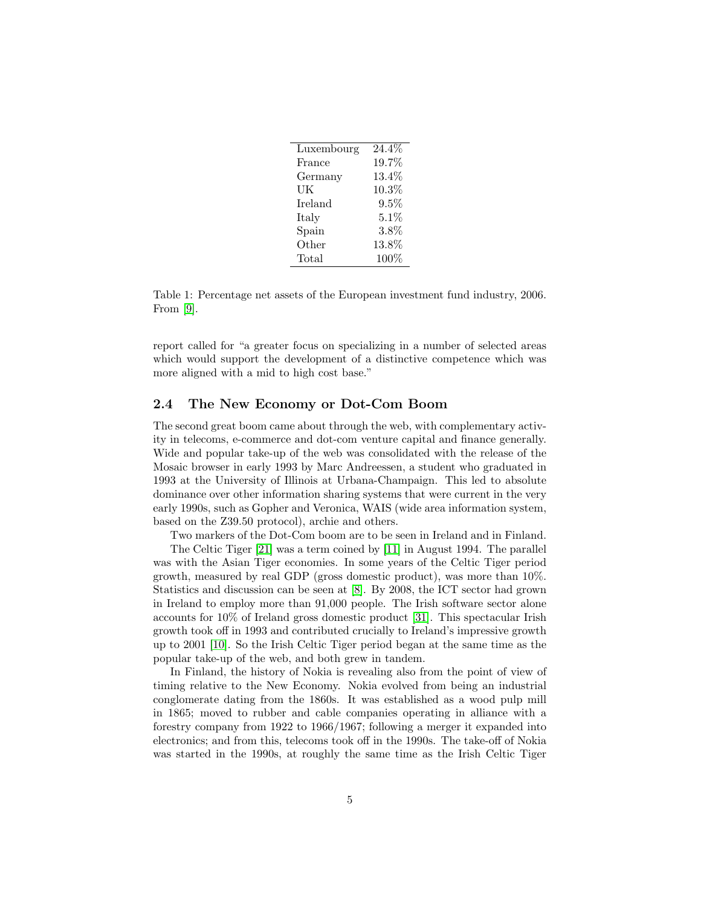| Luxembourg     | $24.4\%$ |
|----------------|----------|
| France         | 19.7%    |
| Germany        | 13.4%    |
| UK             | $10.3\%$ |
| <b>Ireland</b> | $9.5\%$  |
| Italy          | 5.1%     |
| Spain          | $3.8\%$  |
| Other          | 13.8%    |
| Total          | $100\%$  |

<span id="page-4-0"></span>Table 1: Percentage net assets of the European investment fund industry, 2006. From [\[9\]](#page-15-0).

report called for "a greater focus on specializing in a number of selected areas which would support the development of a distinctive competence which was more aligned with a mid to high cost base."

#### 2.4 The New Economy or Dot-Com Boom

The second great boom came about through the web, with complementary activity in telecoms, e-commerce and dot-com venture capital and finance generally. Wide and popular take-up of the web was consolidated with the release of the Mosaic browser in early 1993 by Marc Andreessen, a student who graduated in 1993 at the University of Illinois at Urbana-Champaign. This led to absolute dominance over other information sharing systems that were current in the very early 1990s, such as Gopher and Veronica, WAIS (wide area information system, based on the Z39.50 protocol), archie and others.

Two markers of the Dot-Com boom are to be seen in Ireland and in Finland.

The Celtic Tiger [\[21\]](#page-16-5) was a term coined by [\[11\]](#page-15-1) in August 1994. The parallel was with the Asian Tiger economies. In some years of the Celtic Tiger period growth, measured by real GDP (gross domestic product), was more than 10%. Statistics and discussion can be seen at [\[8\]](#page-15-2). By 2008, the ICT sector had grown in Ireland to employ more than 91,000 people. The Irish software sector alone accounts for 10% of Ireland gross domestic product [\[31\]](#page-17-3). This spectacular Irish growth took off in 1993 and contributed crucially to Ireland's impressive growth up to 2001 [\[10\]](#page-15-3). So the Irish Celtic Tiger period began at the same time as the popular take-up of the web, and both grew in tandem.

In Finland, the history of Nokia is revealing also from the point of view of timing relative to the New Economy. Nokia evolved from being an industrial conglomerate dating from the 1860s. It was established as a wood pulp mill in 1865; moved to rubber and cable companies operating in alliance with a forestry company from 1922 to 1966/1967; following a merger it expanded into electronics; and from this, telecoms took off in the 1990s. The take-off of Nokia was started in the 1990s, at roughly the same time as the Irish Celtic Tiger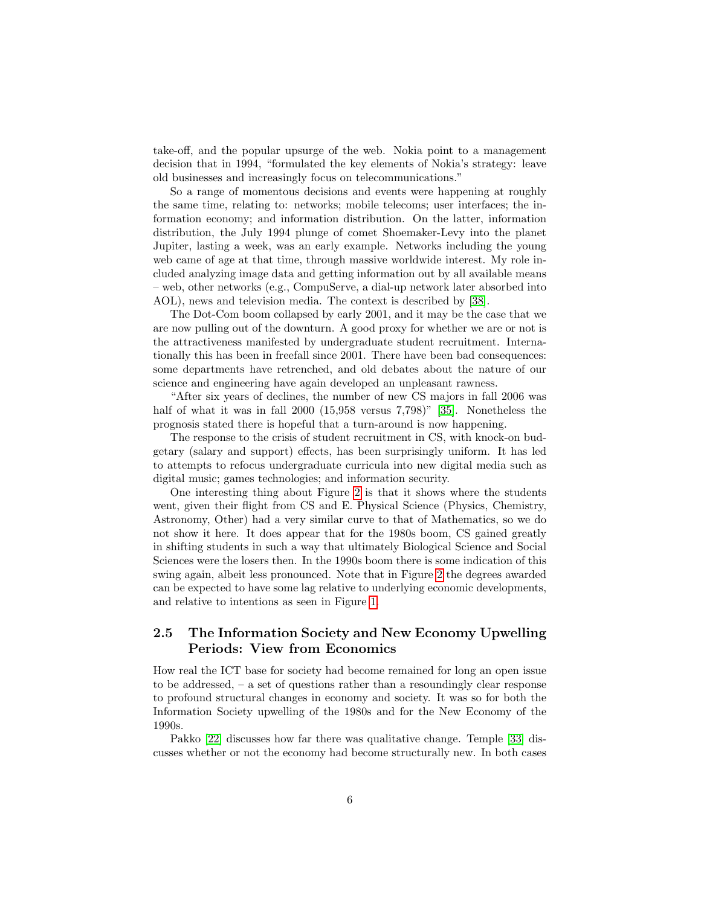take-off, and the popular upsurge of the web. Nokia point to a management decision that in 1994, "formulated the key elements of Nokia's strategy: leave old businesses and increasingly focus on telecommunications."

So a range of momentous decisions and events were happening at roughly the same time, relating to: networks; mobile telecoms; user interfaces; the information economy; and information distribution. On the latter, information distribution, the July 1994 plunge of comet Shoemaker-Levy into the planet Jupiter, lasting a week, was an early example. Networks including the young web came of age at that time, through massive worldwide interest. My role included analyzing image data and getting information out by all available means – web, other networks (e.g., CompuServe, a dial-up network later absorbed into AOL), news and television media. The context is described by [\[38\]](#page-17-4).

The Dot-Com boom collapsed by early 2001, and it may be the case that we are now pulling out of the downturn. A good proxy for whether we are or not is the attractiveness manifested by undergraduate student recruitment. Internationally this has been in freefall since 2001. There have been bad consequences: some departments have retrenched, and old debates about the nature of our science and engineering have again developed an unpleasant rawness.

"After six years of declines, the number of new CS majors in fall 2006 was half of what it was in fall 2000 (15,958 versus 7,798)" [\[35\]](#page-17-5). Nonetheless the prognosis stated there is hopeful that a turn-around is now happening.

The response to the crisis of student recruitment in CS, with knock-on budgetary (salary and support) effects, has been surprisingly uniform. It has led to attempts to refocus undergraduate curricula into new digital media such as digital music; games technologies; and information security.

One interesting thing about Figure [2](#page-7-0) is that it shows where the students went, given their flight from CS and E. Physical Science (Physics, Chemistry, Astronomy, Other) had a very similar curve to that of Mathematics, so we do not show it here. It does appear that for the 1980s boom, CS gained greatly in shifting students in such a way that ultimately Biological Science and Social Sciences were the losers then. In the 1990s boom there is some indication of this swing again, albeit less pronounced. Note that in Figure [2](#page-7-0) the degrees awarded can be expected to have some lag relative to underlying economic developments, and relative to intentions as seen in Figure [1.](#page-6-0)

### <span id="page-5-0"></span>2.5 The Information Society and New Economy Upwelling Periods: View from Economics

How real the ICT base for society had become remained for long an open issue to be addressed, – a set of questions rather than a resoundingly clear response to profound structural changes in economy and society. It was so for both the Information Society upwelling of the 1980s and for the New Economy of the 1990s.

Pakko [\[22\]](#page-16-6) discusses how far there was qualitative change. Temple [\[33\]](#page-17-6) discusses whether or not the economy had become structurally new. In both cases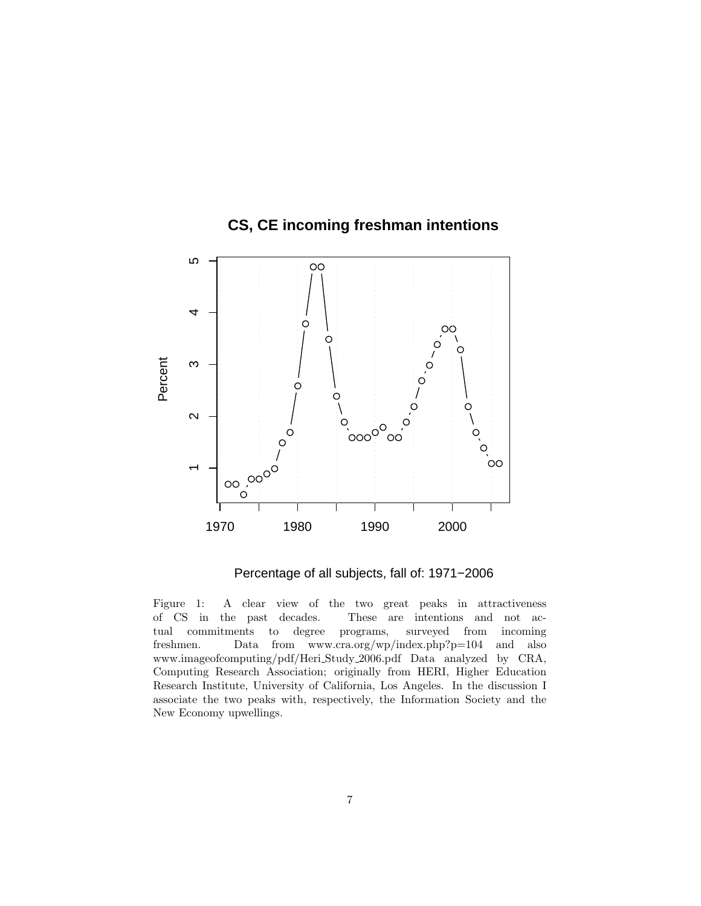

# **CS, CE incoming freshman intentions**

<span id="page-6-0"></span>Percentage of all subjects, fall of: 1971−2006

Figure 1: A clear view of the two great peaks in attractiveness of CS in the past decades. These are intentions and not actual commitments to degree programs, surveyed from incoming freshmen. Data from www.cra.org/wp/index.php?p=104 and also www.imageofcomputing/pdf/Heri Study 2006.pdf Data analyzed by CRA, Computing Research Association; originally from HERI, Higher Education Research Institute, University of California, Los Angeles. In the discussion I associate the two peaks with, respectively, the Information Society and the New Economy upwellings.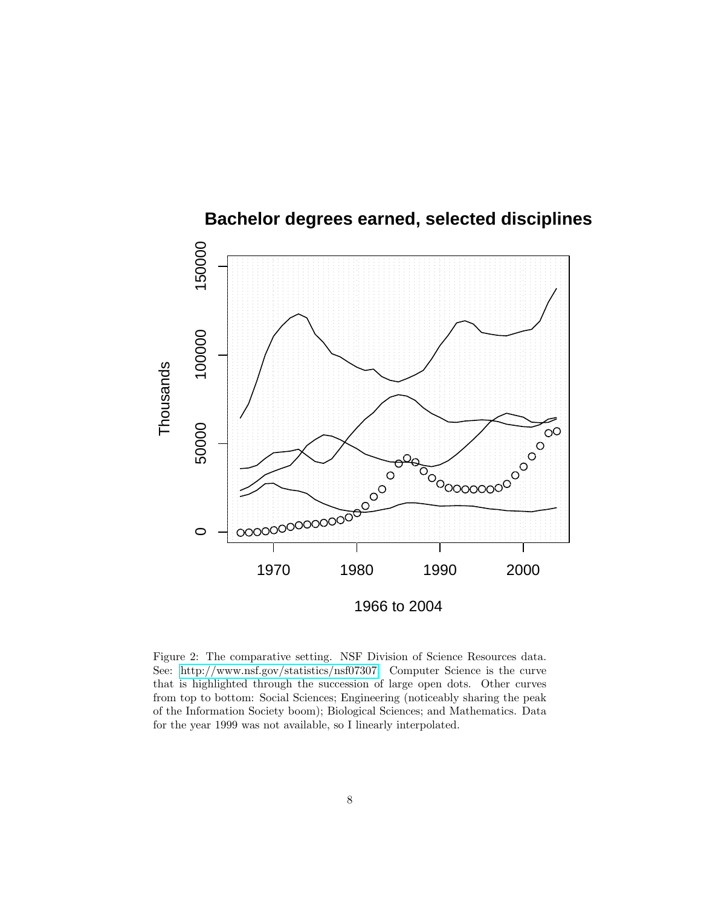

**Bachelor degrees earned, selected disciplines**

<span id="page-7-0"></span>Figure 2: The comparative setting. NSF Division of Science Resources data. See: [http://www.nsf.gov/statistics/nsf07307.](http://www.nsf.gov/statistics/nsf07307) Computer Science is the curve that is highlighted through the succession of large open dots. Other curves from top to bottom: Social Sciences; Engineering (noticeably sharing the peak of the Information Society boom); Biological Sciences; and Mathematics. Data for the year 1999 was not available, so I linearly interpolated.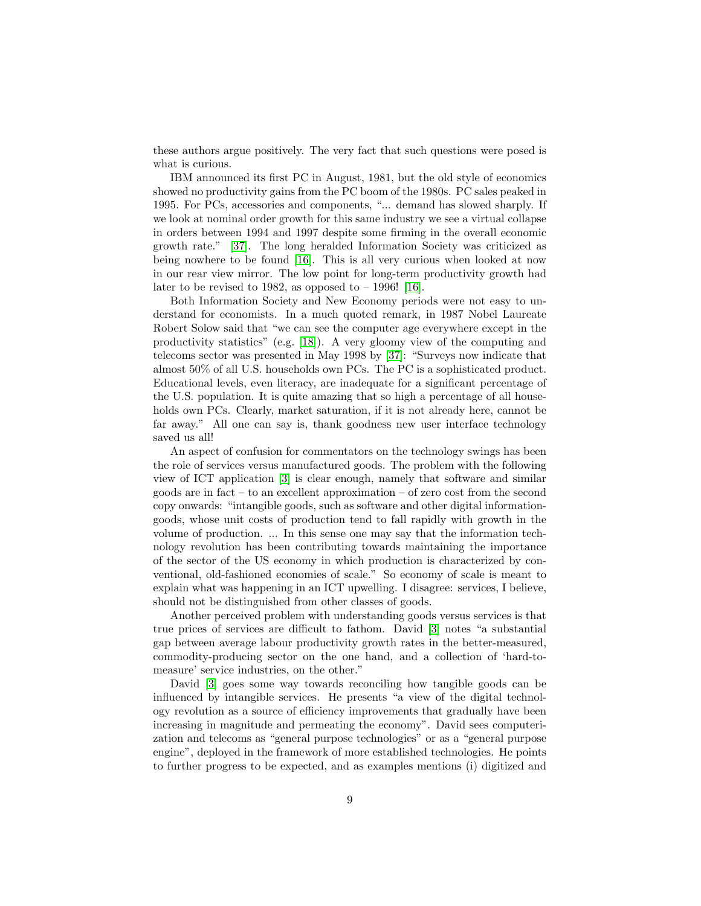these authors argue positively. The very fact that such questions were posed is what is curious.

IBM announced its first PC in August, 1981, but the old style of economics showed no productivity gains from the PC boom of the 1980s. PC sales peaked in 1995. For PCs, accessories and components, "... demand has slowed sharply. If we look at nominal order growth for this same industry we see a virtual collapse in orders between 1994 and 1997 despite some firming in the overall economic growth rate." [\[37\]](#page-17-7). The long heralded Information Society was criticized as being nowhere to be found [\[16\]](#page-16-7). This is all very curious when looked at now in our rear view mirror. The low point for long-term productivity growth had later to be revised to 1982, as opposed to  $-$  1996! [\[16\]](#page-16-7).

Both Information Society and New Economy periods were not easy to understand for economists. In a much quoted remark, in 1987 Nobel Laureate Robert Solow said that "we can see the computer age everywhere except in the productivity statistics" (e.g. [\[18\]](#page-16-8)). A very gloomy view of the computing and telecoms sector was presented in May 1998 by [\[37\]](#page-17-7): "Surveys now indicate that almost 50% of all U.S. households own PCs. The PC is a sophisticated product. Educational levels, even literacy, are inadequate for a significant percentage of the U.S. population. It is quite amazing that so high a percentage of all households own PCs. Clearly, market saturation, if it is not already here, cannot be far away." All one can say is, thank goodness new user interface technology saved us all!

An aspect of confusion for commentators on the technology swings has been the role of services versus manufactured goods. The problem with the following view of ICT application [\[3\]](#page-15-4) is clear enough, namely that software and similar goods are in fact – to an excellent approximation – of zero cost from the second copy onwards: "intangible goods, such as software and other digital informationgoods, whose unit costs of production tend to fall rapidly with growth in the volume of production. ... In this sense one may say that the information technology revolution has been contributing towards maintaining the importance of the sector of the US economy in which production is characterized by conventional, old-fashioned economies of scale." So economy of scale is meant to explain what was happening in an ICT upwelling. I disagree: services, I believe, should not be distinguished from other classes of goods.

Another perceived problem with understanding goods versus services is that true prices of services are difficult to fathom. David [\[3\]](#page-15-4) notes "a substantial gap between average labour productivity growth rates in the better-measured, commodity-producing sector on the one hand, and a collection of 'hard-tomeasure' service industries, on the other."

David [\[3\]](#page-15-4) goes some way towards reconciling how tangible goods can be influenced by intangible services. He presents "a view of the digital technology revolution as a source of efficiency improvements that gradually have been increasing in magnitude and permeating the economy". David sees computerization and telecoms as "general purpose technologies" or as a "general purpose engine", deployed in the framework of more established technologies. He points to further progress to be expected, and as examples mentions (i) digitized and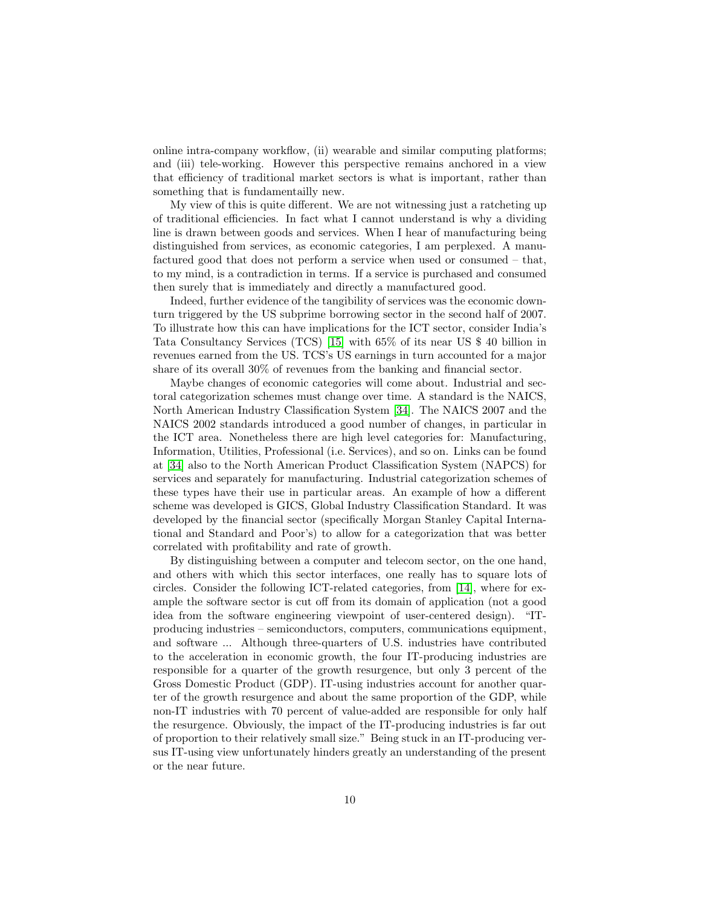online intra-company workflow, (ii) wearable and similar computing platforms; and (iii) tele-working. However this perspective remains anchored in a view that efficiency of traditional market sectors is what is important, rather than something that is fundamentailly new.

My view of this is quite different. We are not witnessing just a ratcheting up of traditional efficiencies. In fact what I cannot understand is why a dividing line is drawn between goods and services. When I hear of manufacturing being distinguished from services, as economic categories, I am perplexed. A manufactured good that does not perform a service when used or consumed – that, to my mind, is a contradiction in terms. If a service is purchased and consumed then surely that is immediately and directly a manufactured good.

Indeed, further evidence of the tangibility of services was the economic downturn triggered by the US subprime borrowing sector in the second half of 2007. To illustrate how this can have implications for the ICT sector, consider India's Tata Consultancy Services (TCS) [\[15\]](#page-15-5) with 65% of its near US \$ 40 billion in revenues earned from the US. TCS's US earnings in turn accounted for a major share of its overall 30% of revenues from the banking and financial sector.

Maybe changes of economic categories will come about. Industrial and sectoral categorization schemes must change over time. A standard is the NAICS, North American Industry Classification System [\[34\]](#page-17-8). The NAICS 2007 and the NAICS 2002 standards introduced a good number of changes, in particular in the ICT area. Nonetheless there are high level categories for: Manufacturing, Information, Utilities, Professional (i.e. Services), and so on. Links can be found at [\[34\]](#page-17-8) also to the North American Product Classification System (NAPCS) for services and separately for manufacturing. Industrial categorization schemes of these types have their use in particular areas. An example of how a different scheme was developed is GICS, Global Industry Classification Standard. It was developed by the financial sector (specifically Morgan Stanley Capital International and Standard and Poor's) to allow for a categorization that was better correlated with profitability and rate of growth.

By distinguishing between a computer and telecom sector, on the one hand, and others with which this sector interfaces, one really has to square lots of circles. Consider the following ICT-related categories, from [\[14\]](#page-15-6), where for example the software sector is cut off from its domain of application (not a good idea from the software engineering viewpoint of user-centered design). "ITproducing industries – semiconductors, computers, communications equipment, and software ... Although three-quarters of U.S. industries have contributed to the acceleration in economic growth, the four IT-producing industries are responsible for a quarter of the growth resurgence, but only 3 percent of the Gross Domestic Product (GDP). IT-using industries account for another quarter of the growth resurgence and about the same proportion of the GDP, while non-IT industries with 70 percent of value-added are responsible for only half the resurgence. Obviously, the impact of the IT-producing industries is far out of proportion to their relatively small size." Being stuck in an IT-producing versus IT-using view unfortunately hinders greatly an understanding of the present or the near future.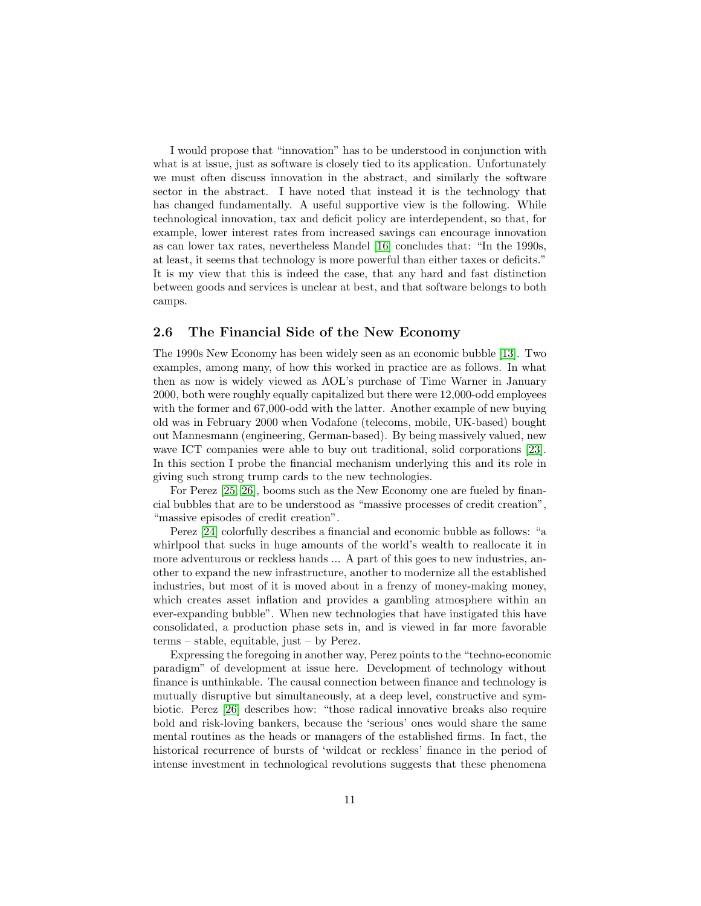I would propose that "innovation" has to be understood in conjunction with what is at issue, just as software is closely tied to its application. Unfortunately we must often discuss innovation in the abstract, and similarly the software sector in the abstract. I have noted that instead it is the technology that has changed fundamentally. A useful supportive view is the following. While technological innovation, tax and deficit policy are interdependent, so that, for example, lower interest rates from increased savings can encourage innovation as can lower tax rates, nevertheless Mandel [\[16\]](#page-16-7) concludes that: "In the 1990s, at least, it seems that technology is more powerful than either taxes or deficits." It is my view that this is indeed the case, that any hard and fast distinction between goods and services is unclear at best, and that software belongs to both camps.

#### 2.6 The Financial Side of the New Economy

The 1990s New Economy has been widely seen as an economic bubble [\[13\]](#page-15-7). Two examples, among many, of how this worked in practice are as follows. In what then as now is widely viewed as AOL's purchase of Time Warner in January 2000, both were roughly equally capitalized but there were 12,000-odd employees with the former and 67,000-odd with the latter. Another example of new buying old was in February 2000 when Vodafone (telecoms, mobile, UK-based) bought out Mannesmann (engineering, German-based). By being massively valued, new wave ICT companies were able to buy out traditional, solid corporations [\[23\]](#page-16-2). In this section I probe the financial mechanism underlying this and its role in giving such strong trump cards to the new technologies.

For Perez [\[25,](#page-16-9) [26\]](#page-16-10), booms such as the New Economy one are fueled by financial bubbles that are to be understood as "massive processes of credit creation", "massive episodes of credit creation".

Perez [\[24\]](#page-16-11) colorfully describes a financial and economic bubble as follows: "a whirlpool that sucks in huge amounts of the world's wealth to reallocate it in more adventurous or reckless hands ... A part of this goes to new industries, another to expand the new infrastructure, another to modernize all the established industries, but most of it is moved about in a frenzy of money-making money, which creates asset inflation and provides a gambling atmosphere within an ever-expanding bubble". When new technologies that have instigated this have consolidated, a production phase sets in, and is viewed in far more favorable terms – stable, equitable, just – by Perez.

Expressing the foregoing in another way, Perez points to the "techno-economic paradigm" of development at issue here. Development of technology without finance is unthinkable. The causal connection between finance and technology is mutually disruptive but simultaneously, at a deep level, constructive and symbiotic. Perez [\[26\]](#page-16-10) describes how: "those radical innovative breaks also require bold and risk-loving bankers, because the 'serious' ones would share the same mental routines as the heads or managers of the established firms. In fact, the historical recurrence of bursts of 'wildcat or reckless' finance in the period of intense investment in technological revolutions suggests that these phenomena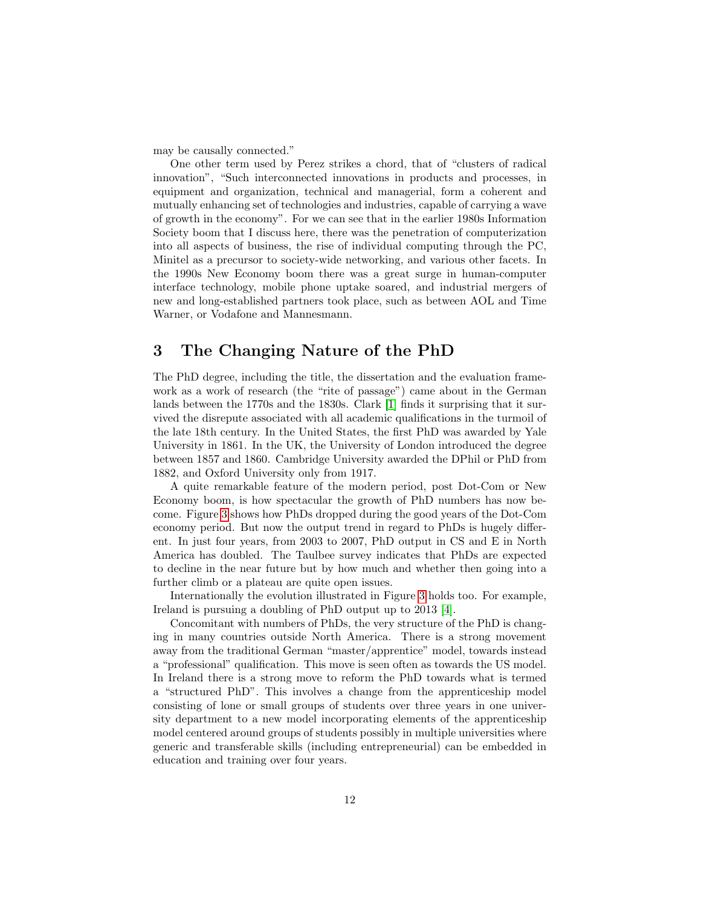may be causally connected."

One other term used by Perez strikes a chord, that of "clusters of radical innovation", "Such interconnected innovations in products and processes, in equipment and organization, technical and managerial, form a coherent and mutually enhancing set of technologies and industries, capable of carrying a wave of growth in the economy". For we can see that in the earlier 1980s Information Society boom that I discuss here, there was the penetration of computerization into all aspects of business, the rise of individual computing through the PC, Minitel as a precursor to society-wide networking, and various other facets. In the 1990s New Economy boom there was a great surge in human-computer interface technology, mobile phone uptake soared, and industrial mergers of new and long-established partners took place, such as between AOL and Time Warner, or Vodafone and Mannesmann.

# <span id="page-11-0"></span>3 The Changing Nature of the PhD

The PhD degree, including the title, the dissertation and the evaluation framework as a work of research (the "rite of passage") came about in the German lands between the 1770s and the 1830s. Clark [\[1\]](#page-12-0) finds it surprising that it survived the disrepute associated with all academic qualifications in the turmoil of the late 18th century. In the United States, the first PhD was awarded by Yale University in 1861. In the UK, the University of London introduced the degree between 1857 and 1860. Cambridge University awarded the DPhil or PhD from 1882, and Oxford University only from 1917.

A quite remarkable feature of the modern period, post Dot-Com or New Economy boom, is how spectacular the growth of PhD numbers has now become. Figure [3](#page-13-0) shows how PhDs dropped during the good years of the Dot-Com economy period. But now the output trend in regard to PhDs is hugely different. In just four years, from 2003 to 2007, PhD output in CS and E in North America has doubled. The Taulbee survey indicates that PhDs are expected to decline in the near future but by how much and whether then going into a further climb or a plateau are quite open issues.

Internationally the evolution illustrated in Figure [3](#page-13-0) holds too. For example, Ireland is pursuing a doubling of PhD output up to 2013 [\[4\]](#page-15-8).

Concomitant with numbers of PhDs, the very structure of the PhD is changing in many countries outside North America. There is a strong movement away from the traditional German "master/apprentice" model, towards instead a "professional" qualification. This move is seen often as towards the US model. In Ireland there is a strong move to reform the PhD towards what is termed a "structured PhD". This involves a change from the apprenticeship model consisting of lone or small groups of students over three years in one university department to a new model incorporating elements of the apprenticeship model centered around groups of students possibly in multiple universities where generic and transferable skills (including entrepreneurial) can be embedded in education and training over four years.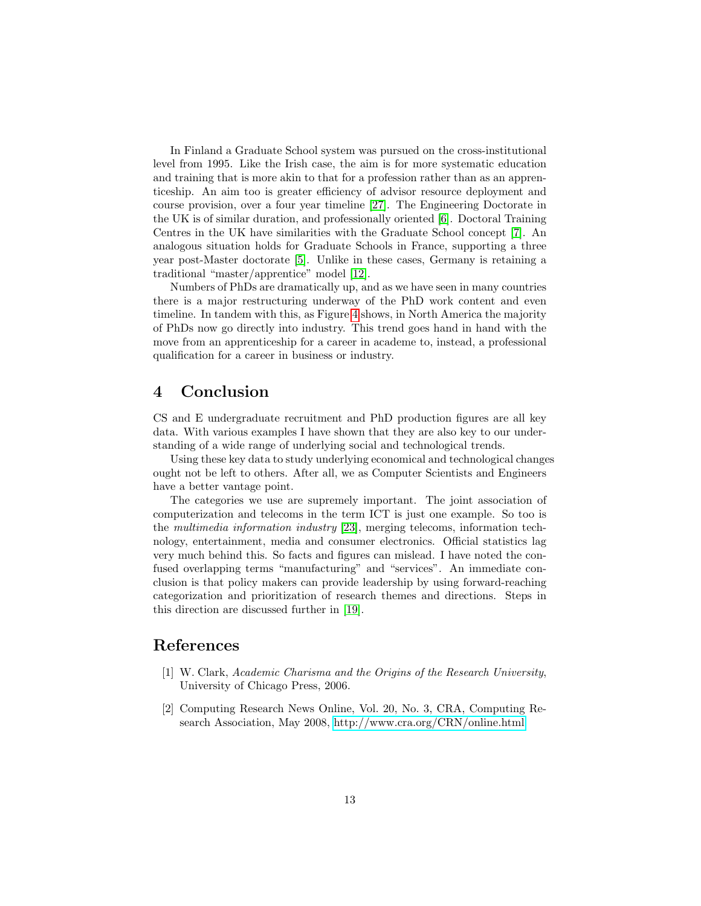In Finland a Graduate School system was pursued on the cross-institutional level from 1995. Like the Irish case, the aim is for more systematic education and training that is more akin to that for a profession rather than as an apprenticeship. An aim too is greater efficiency of advisor resource deployment and course provision, over a four year timeline [\[27\]](#page-16-12). The Engineering Doctorate in the UK is of similar duration, and professionally oriented [\[6\]](#page-15-9). Doctoral Training Centres in the UK have similarities with the Graduate School concept [\[7\]](#page-15-10). An analogous situation holds for Graduate Schools in France, supporting a three year post-Master doctorate [\[5\]](#page-15-11). Unlike in these cases, Germany is retaining a traditional "master/apprentice" model [\[12\]](#page-15-12).

Numbers of PhDs are dramatically up, and as we have seen in many countries there is a major restructuring underway of the PhD work content and even timeline. In tandem with this, as Figure [4](#page-14-0) shows, in North America the majority of PhDs now go directly into industry. This trend goes hand in hand with the move from an apprenticeship for a career in academe to, instead, a professional qualification for a career in business or industry.

# 4 Conclusion

CS and E undergraduate recruitment and PhD production figures are all key data. With various examples I have shown that they are also key to our understanding of a wide range of underlying social and technological trends.

Using these key data to study underlying economical and technological changes ought not be left to others. After all, we as Computer Scientists and Engineers have a better vantage point.

The categories we use are supremely important. The joint association of computerization and telecoms in the term ICT is just one example. So too is the multimedia information industry [\[23\]](#page-16-2), merging telecoms, information technology, entertainment, media and consumer electronics. Official statistics lag very much behind this. So facts and figures can mislead. I have noted the confused overlapping terms "manufacturing" and "services". An immediate conclusion is that policy makers can provide leadership by using forward-reaching categorization and prioritization of research themes and directions. Steps in this direction are discussed further in [\[19\]](#page-16-13).

### References

- <span id="page-12-0"></span>[1] W. Clark, Academic Charisma and the Origins of the Research University, University of Chicago Press, 2006.
- <span id="page-12-1"></span>[2] Computing Research News Online, Vol. 20, No. 3, CRA, Computing Research Association, May 2008,<http://www.cra.org/CRN/online.html>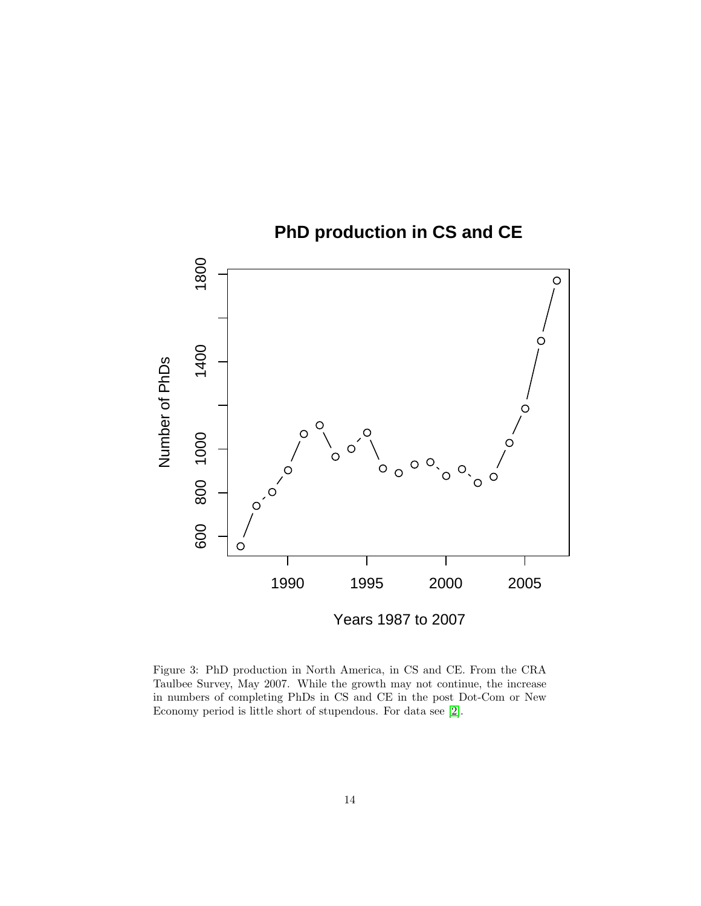

<span id="page-13-0"></span>Figure 3: PhD production in North America, in CS and CE. From the CRA Taulbee Survey, May 2007. While the growth may not continue, the increase in numbers of completing PhDs in CS and CE in the post Dot-Com or New Economy period is little short of stupendous. For data see [\[2\]](#page-12-1).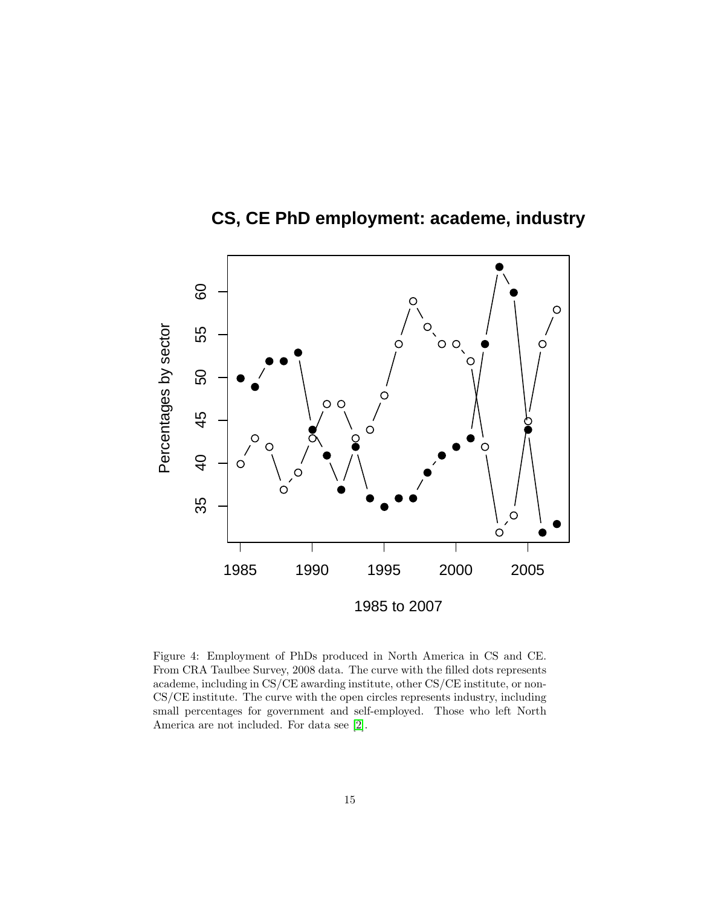

**CS, CE PhD employment: academe, industry**

<span id="page-14-0"></span>Figure 4: Employment of PhDs produced in North America in CS and CE. From CRA Taulbee Survey, 2008 data. The curve with the filled dots represents academe, including in CS/CE awarding institute, other CS/CE institute, or non-CS/CE institute. The curve with the open circles represents industry, including small percentages for government and self-employed. Those who left North America are not included. For data see [\[2\]](#page-12-1).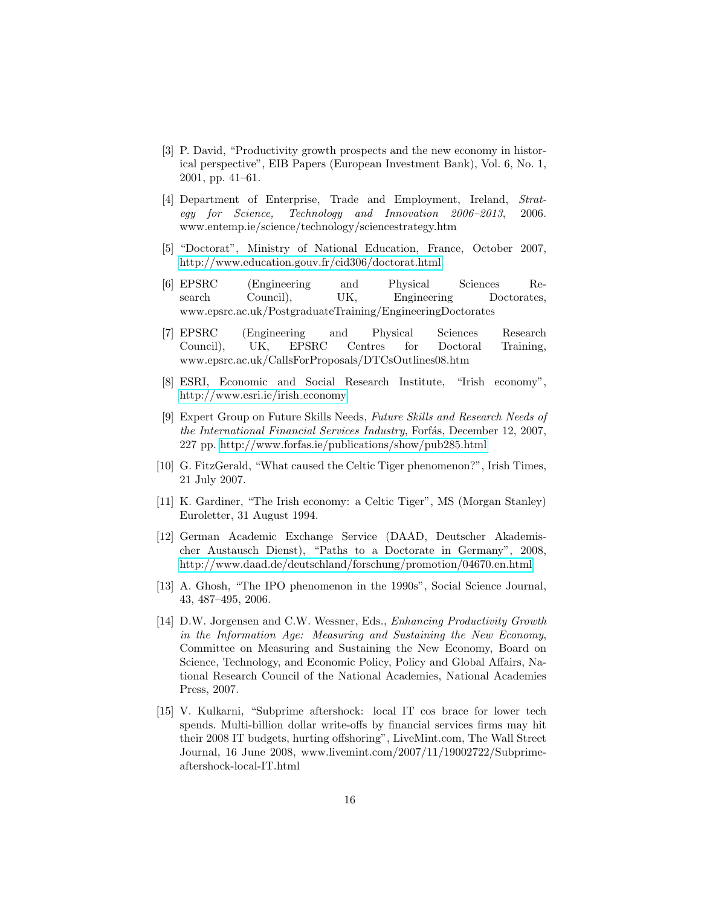- <span id="page-15-4"></span>[3] P. David, "Productivity growth prospects and the new economy in historical perspective", EIB Papers (European Investment Bank), Vol. 6, No. 1, 2001, pp. 41–61.
- <span id="page-15-8"></span>[4] Department of Enterprise, Trade and Employment, Ireland, Strategy for Science, Technology and Innovation 2006–2013, 2006. www.entemp.ie/science/technology/sciencestrategy.htm
- <span id="page-15-11"></span>[5] "Doctorat", Ministry of National Education, France, October 2007, <http://www.education.gouv.fr/cid306/doctorat.html>
- <span id="page-15-9"></span>[6] EPSRC (Engineering and Physical Sciences Research Council), UK, Engineering Doctorates, www.epsrc.ac.uk/PostgraduateTraining/EngineeringDoctorates
- <span id="page-15-10"></span>[7] EPSRC (Engineering and Physical Sciences Research Council), UK, EPSRC Centres for Doctoral Training, www.epsrc.ac.uk/CallsForProposals/DTCsOutlines08.htm
- <span id="page-15-2"></span>[8] ESRI, Economic and Social Research Institute, "Irish economy", [http://www.esri.ie/irish](http://www.esri.ie/irish_economy) economy
- <span id="page-15-0"></span>[9] Expert Group on Future Skills Needs, Future Skills and Research Needs of the International Financial Services Industry, Forfás, December 12, 2007, 227 pp.<http://www.forfas.ie/publications/show/pub285.html>
- <span id="page-15-3"></span>[10] G. FitzGerald, "What caused the Celtic Tiger phenomenon?", Irish Times, 21 July 2007.
- <span id="page-15-1"></span>[11] K. Gardiner, "The Irish economy: a Celtic Tiger", MS (Morgan Stanley) Euroletter, 31 August 1994.
- <span id="page-15-12"></span>[12] German Academic Exchange Service (DAAD, Deutscher Akademischer Austausch Dienst), "Paths to a Doctorate in Germany", 2008, <http://www.daad.de/deutschland/forschung/promotion/04670.en.html>
- <span id="page-15-7"></span>[13] A. Ghosh, "The IPO phenomenon in the 1990s", Social Science Journal, 43, 487–495, 2006.
- <span id="page-15-6"></span>[14] D.W. Jorgensen and C.W. Wessner, Eds., Enhancing Productivity Growth in the Information Age: Measuring and Sustaining the New Economy, Committee on Measuring and Sustaining the New Economy, Board on Science, Technology, and Economic Policy, Policy and Global Affairs, National Research Council of the National Academies, National Academies Press, 2007.
- <span id="page-15-5"></span>[15] V. Kulkarni, "Subprime aftershock: local IT cos brace for lower tech spends. Multi-billion dollar write-offs by financial services firms may hit their 2008 IT budgets, hurting offshoring", LiveMint.com, The Wall Street Journal, 16 June 2008, www.livemint.com/2007/11/19002722/Subprimeaftershock-local-IT.html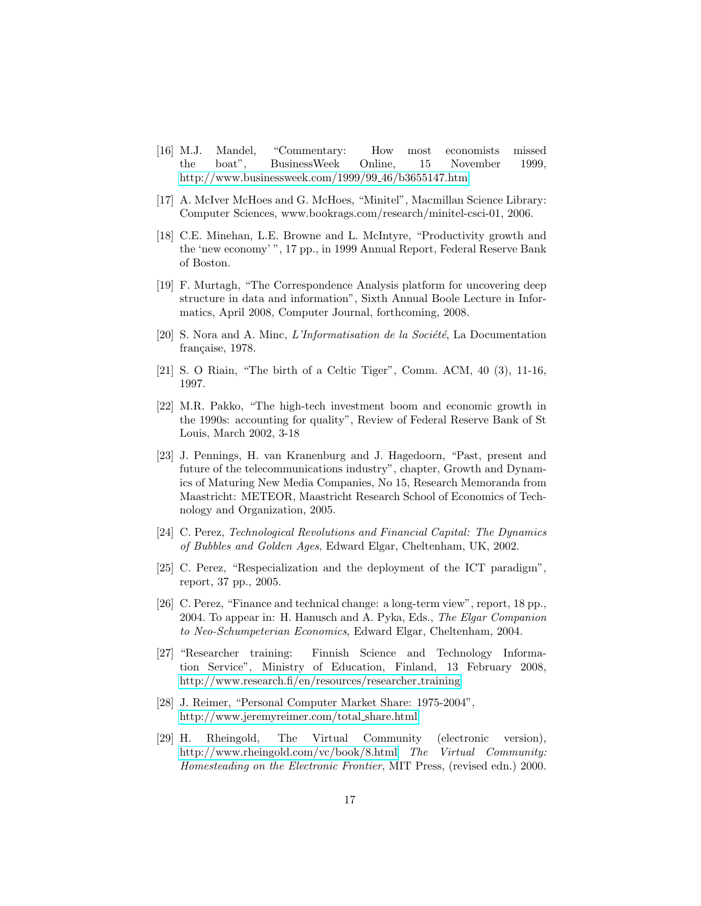- <span id="page-16-7"></span>[16] M.J. Mandel, "Commentary: How most economists missed the boat", BusinessWeek Online, 15 November 1999, [http://www.businessweek.com/1999/99](http://www.businessweek.com/1999/99_46/b3655147.htm) 46/b3655147.htm
- <span id="page-16-4"></span>[17] A. McIver McHoes and G. McHoes, "Minitel", Macmillan Science Library: Computer Sciences, www.bookrags.com/research/minitel-csci-01, 2006.
- <span id="page-16-8"></span>[18] C.E. Minehan, L.E. Browne and L. McIntyre, "Productivity growth and the 'new economy' ", 17 pp., in 1999 Annual Report, Federal Reserve Bank of Boston.
- <span id="page-16-13"></span>[19] F. Murtagh, "The Correspondence Analysis platform for uncovering deep structure in data and information", Sixth Annual Boole Lecture in Informatics, April 2008, Computer Journal, forthcoming, 2008.
- <span id="page-16-0"></span>[20] S. Nora and A. Minc,  $L'Information de la Société$ , La Documentation française, 1978.
- <span id="page-16-5"></span>[21] S. O Riain, "The birth of a Celtic Tiger", Comm. ACM, 40 (3), 11-16, 1997.
- <span id="page-16-6"></span>[22] M.R. Pakko, "The high-tech investment boom and economic growth in the 1990s: accounting for quality", Review of Federal Reserve Bank of St Louis, March 2002, 3-18
- <span id="page-16-2"></span>[23] J. Pennings, H. van Kranenburg and J. Hagedoorn, "Past, present and future of the telecommunications industry", chapter, Growth and Dynamics of Maturing New Media Companies, No 15, Research Memoranda from Maastricht: METEOR, Maastricht Research School of Economics of Technology and Organization, 2005.
- <span id="page-16-11"></span>[24] C. Perez, Technological Revolutions and Financial Capital: The Dynamics of Bubbles and Golden Ages, Edward Elgar, Cheltenham, UK, 2002.
- <span id="page-16-9"></span>[25] C. Perez, "Respecialization and the deployment of the ICT paradigm", report, 37 pp., 2005.
- <span id="page-16-10"></span>[26] C. Perez, "Finance and technical change: a long-term view", report, 18 pp., 2004. To appear in: H. Hanusch and A. Pyka, Eds., The Elgar Companion to Neo-Schumpeterian Economics, Edward Elgar, Cheltenham, 2004.
- <span id="page-16-12"></span>[27] "Researcher training: Finnish Science and Technology Information Service", Ministry of Education, Finland, 13 February 2008, [http://www.research.fi/en/resources/researcher](http://www.research.fi/en/resources/researcher_training)\_training
- <span id="page-16-1"></span>[28] J. Reimer, "Personal Computer Market Share: 1975-2004", [http://www.jeremyreimer.com/total](http://www.jeremyreimer.com/total_share.html) share.html
- <span id="page-16-3"></span>[29] H. Rheingold, The Virtual Community (electronic version), <http://www.rheingold.com/vc/book/8.html> The Virtual Community: Homesteading on the Electronic Frontier, MIT Press, (revised edn.) 2000.